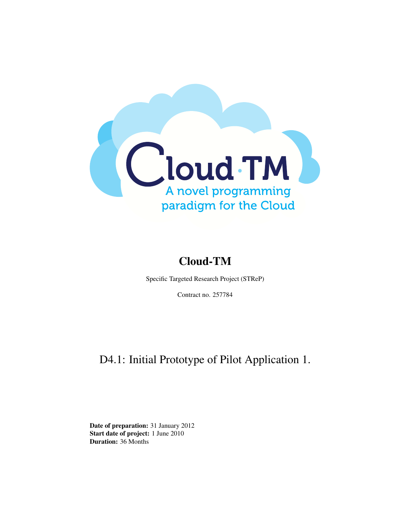

# Cloud-TM

Specific Targeted Research Project (STReP)

Contract no. 257784

# D4.1: Initial Prototype of Pilot Application 1.

Date of preparation: 31 January 2012 Start date of project: 1 June 2010 Duration: 36 Months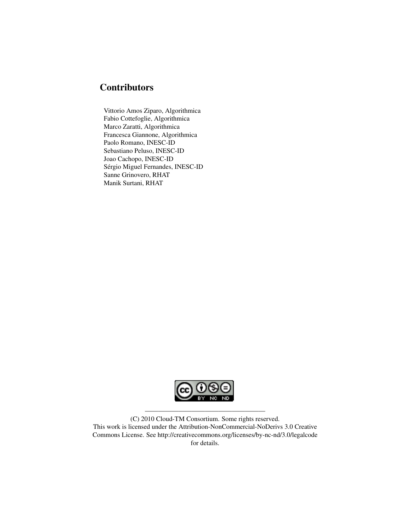## **Contributors**

Vittorio Amos Ziparo, Algorithmica Fabio Cottefoglie, Algorithmica Marco Zaratti, Algorithmica Francesca Giannone, Algorithmica Paolo Romano, INESC-ID Sebastiano Peluso, INESC-ID Joao Cachopo, INESC-ID Sérgio Miguel Fernandes, INESC-ID Sanne Grinovero, RHAT Manik Surtani, RHAT



(C) 2010 Cloud-TM Consortium. Some rights reserved. This work is licensed under the Attribution-NonCommercial-NoDerivs 3.0 Creative Commons License. See http://creativecommons.org/licenses/by-nc-nd/3.0/legalcode for details.

——————————————————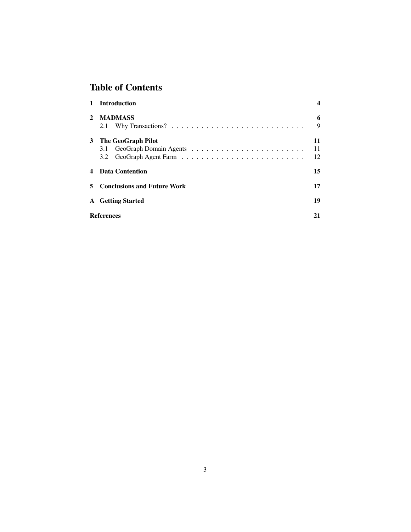## Table of Contents

| $\mathbf{1}$ | <b>Introduction</b>           |    |
|--------------|-------------------------------|----|
| $\mathbf{2}$ | <b>MADMASS</b>                | 6  |
|              | 2.1                           | 9  |
|              | 3 The GeoGraph Pilot          | 11 |
|              |                               | 11 |
|              |                               | 12 |
| 4            | Data Contention               | 15 |
|              | 5 Conclusions and Future Work | 17 |
|              | <b>A</b> Getting Started      | 19 |
|              | <b>References</b>             | 21 |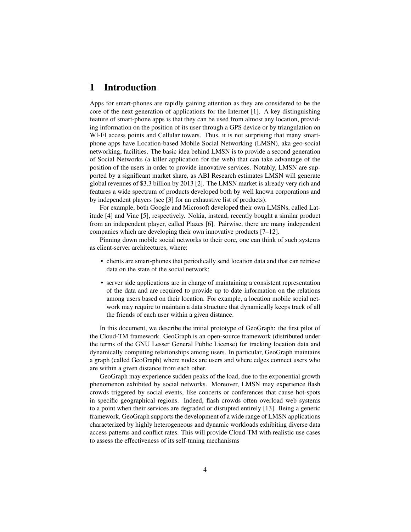## 1 Introduction

Apps for smart-phones are rapidly gaining attention as they are considered to be the core of the next generation of applications for the Internet [1]. A key distinguishing feature of smart-phone apps is that they can be used from almost any location, providing information on the position of its user through a GPS device or by triangulation on WI-FI access points and Cellular towers. Thus, it is not surprising that many smartphone apps have Location-based Mobile Social Networking (LMSN), aka geo-social networking, facilities. The basic idea behind LMSN is to provide a second generation of Social Networks (a killer application for the web) that can take advantage of the position of the users in order to provide innovative services. Notably, LMSN are supported by a significant market share, as ABI Research estimates LMSN will generate global revenues of \$3.3 billion by 2013 [2]. The LMSN market is already very rich and features a wide spectrum of products developed both by well known corporations and by independent players (see [3] for an exhaustive list of products).

For example, both Google and Microsoft developed their own LMSNs, called Latitude [4] and Vine [5], respectively. Nokia, instead, recently bought a similar product from an independent player, called Plazes [6]. Pairwise, there are many independent companies which are developing their own innovative products [7–12].

Pinning down mobile social networks to their core, one can think of such systems as client-server architectures, where:

- clients are smart-phones that periodically send location data and that can retrieve data on the state of the social network;
- server side applications are in charge of maintaining a consistent representation of the data and are required to provide up to date information on the relations among users based on their location. For example, a location mobile social network may require to maintain a data structure that dynamically keeps track of all the friends of each user within a given distance.

In this document, we describe the initial prototype of GeoGraph: the first pilot of the Cloud-TM framework. GeoGraph is an open-source framework (distributed under the terms of the GNU Lesser General Public License) for tracking location data and dynamically computing relationships among users. In particular, GeoGraph maintains a graph (called GeoGraph) where nodes are users and where edges connect users who are within a given distance from each other.

GeoGraph may experience sudden peaks of the load, due to the exponential growth phenomenon exhibited by social networks. Moreover, LMSN may experience flash crowds triggered by social events, like concerts or conferences that cause hot-spots in specific geographical regions. Indeed, flash crowds often overload web systems to a point when their services are degraded or disrupted entirely [13]. Being a generic framework, GeoGraph supports the development of a wide range of LMSN applications characterized by highly heterogeneous and dynamic workloads exhibiting diverse data access patterns and conflict rates. This will provide Cloud-TM with realistic use cases to assess the effectiveness of its self-tuning mechanisms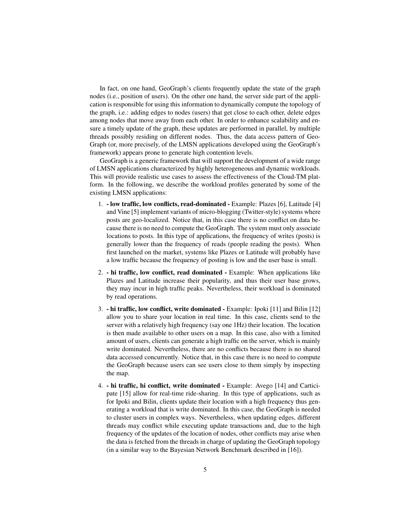In fact, on one hand, GeoGraph's clients frequently update the state of the graph nodes (i.e., position of users). On the other one hand, the server side part of the application is responsible for using this information to dynamically compute the topology of the graph, i.e.: adding edges to nodes (users) that get close to each other, delete edges among nodes that move away from each other. In order to enhance scalability and ensure a timely update of the graph, these updates are performed in parallel, by multiple threads possibly residing on different nodes. Thus, the data access pattern of Geo-Graph (or, more precisely, of the LMSN applications developed using the GeoGraph's framework) appears prone to generate high contention levels.

GeoGraph is a generic framework that will support the development of a wide range of LMSN applications characterized by highly heterogeneous and dynamic workloads. This will provide realistic use cases to assess the effectiveness of the Cloud-TM platform. In the following, we describe the workload profiles generated by some of the existing LMSN applications:

- 1. low traffic, low conflicts, read-dominated Example: Plazes [6], Latitude [4] and Vine [5] implement variants of micro-blogging (Twitter-style) systems where posts are geo-localized. Notice that, in this case there is no conflict on data because there is no need to compute the GeoGraph. The system must only associate locations to posts. In this type of applications, the frequency of writes (posts) is generally lower than the frequency of reads (people reading the posts). When first launched on the market, systems like Plazes or Latitude will probably have a low traffic because the frequency of posting is low and the user base is small.
- 2. hi traffic, low conflict, read dominated Example: When applications like Plazes and Latitude increase their popularity, and thus their user base grows, they may incur in high traffic peaks. Nevertheless, their workload is dominated by read operations.
- 3. hi traffic, low conflict, write dominated Example: Ipoki [11] and Bilin [12] allow you to share your location in real time. In this case, clients send to the server with a relatively high frequency (say one 1Hz) their location. The location is then made available to other users on a map. In this case, also with a limited amount of users, clients can generate a high traffic on the server, which is mainly write dominated. Nevertheless, there are no conflicts because there is no shared data accessed concurrently. Notice that, in this case there is no need to compute the GeoGraph because users can see users close to them simply by inspecting the map.
- 4. hi traffic, hi conflict, write dominated Example: Avego [14] and Carticipate [15] allow for real-time ride-sharing. In this type of applications, such as for Ipoki and Bilin, clients update their location with a high frequency thus generating a workload that is write dominated. In this case, the GeoGraph is needed to cluster users in complex ways. Nevertheless, when updating edges, different threads may conflict while executing update transactions and, due to the high frequency of the updates of the location of nodes, other conflicts may arise when the data is fetched from the threads in charge of updating the GeoGraph topology (in a similar way to the Bayesian Network Benchmark described in [16]).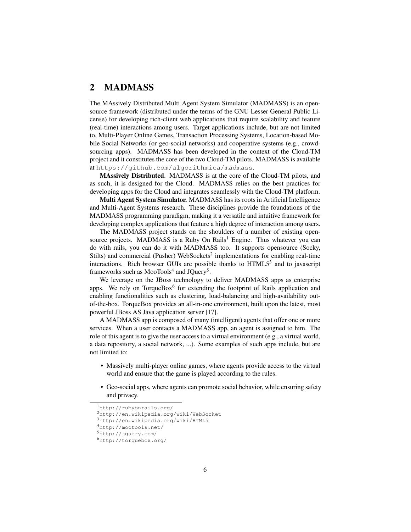## 2 MADMASS

The MAssively Distributed Multi Agent System Simulator (MADMASS) is an opensource framework (distributed under the terms of the GNU Lesser General Public License) for developing rich-client web applications that require scalability and feature (real-time) interactions among users. Target applications include, but are not limited to, Multi-Player Online Games, Transaction Processing Systems, Location-based Mobile Social Networks (or geo-social networks) and cooperative systems (e.g., crowdsourcing apps). MADMASS has been developed in the context of the Cloud-TM project and it constitutes the core of the two Cloud-TM pilots. MADMASS is available at https://github.com/algorithmica/madmass.

MAssively Distributed. MADMASS is at the core of the Cloud-TM pilots, and as such, it is designed for the Cloud. MADMASS relies on the best practices for developing apps for the Cloud and integrates seamlessly with the Cloud-TM platform.

Multi Agent System Simulator. MADMASS has its roots in Artificial Intelligence and Multi-Agent Systems research. These disciplines provide the foundations of the MADMASS programming paradigm, making it a versatile and intuitive framework for developing complex applications that feature a high degree of interaction among users.

The MADMASS project stands on the shoulders of a number of existing opensource projects. MADMASS is a Ruby On Rails<sup>1</sup> Engine. Thus whatever you can do with rails, you can do it with MADMASS too. It supports opensource (Socky, Stilts) and commercial (Pusher) WebSockets<sup>2</sup> implementations for enabling real-time interactions. Rich browser GUIs are possible thanks to HTML5<sup>3</sup> and to javascript frameworks such as MooTools<sup>4</sup> and JQuery<sup>5</sup>.

We leverage on the JBoss technology to deliver MADMASS apps as enterprise apps. We rely on TorqueBox<sup>6</sup> for extending the footprint of Rails application and enabling functionalities such as clustering, load-balancing and high-availability outof-the-box. TorqueBox provides an all-in-one environment, built upon the latest, most powerful JBoss AS Java application server [17].

A MADMASS app is composed of many (intelligent) agents that offer one or more services. When a user contacts a MADMASS app, an agent is assigned to him. The role of this agent is to give the user access to a virtual environment (e.g., a virtual world, a data repository, a social network, ...). Some examples of such apps include, but are not limited to:

- Massively multi-player online games, where agents provide access to the virtual world and ensure that the game is played according to the rules.
- Geo-social apps, where agents can promote social behavior, while ensuring safety and privacy.

<sup>1</sup>http://rubyonrails.org/

<sup>2</sup>http://en.wikipedia.org/wiki/WebSocket

<sup>3</sup>http://en.wikipedia.org/wiki/HTML5

<sup>4</sup>http://mootools.net/

<sup>5</sup>http://jquery.com/

<sup>6</sup>http://torquebox.org/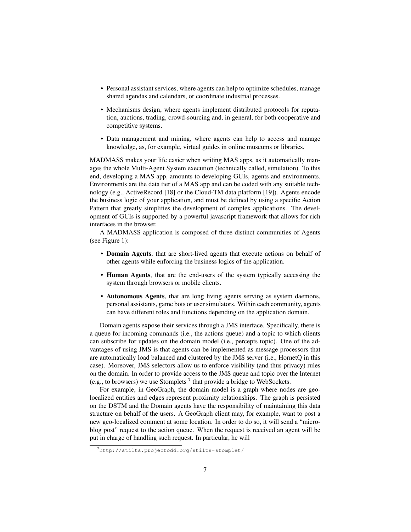- Personal assistant services, where agents can help to optimize schedules, manage shared agendas and calendars, or coordinate industrial processes.
- Mechanisms design, where agents implement distributed protocols for reputation, auctions, trading, crowd-sourcing and, in general, for both cooperative and competitive systems.
- Data management and mining, where agents can help to access and manage knowledge, as, for example, virtual guides in online museums or libraries.

MADMASS makes your life easier when writing MAS apps, as it automatically manages the whole Multi-Agent System execution (technically called, simulation). To this end, developing a MAS app, amounts to developing GUIs, agents and environments. Environments are the data tier of a MAS app and can be coded with any suitable technology (e.g., ActiveRecord [18] or the Cloud-TM data platform [19]). Agents encode the business logic of your application, and must be defined by using a specific Action Pattern that greatly simplifies the development of complex applications. The development of GUIs is supported by a powerful javascript framework that allows for rich interfaces in the browser.

A MADMASS application is composed of three distinct communities of Agents (see Figure 1):

- Domain Agents, that are short-lived agents that execute actions on behalf of other agents while enforcing the business logics of the application.
- Human Agents, that are the end-users of the system typically accessing the system through browsers or mobile clients.
- Autonomous Agents, that are long living agents serving as system daemons, personal assistants, game bots or user simulators. Within each community, agents can have different roles and functions depending on the application domain.

Domain agents expose their services through a JMS interface. Specifically, there is a queue for incoming commands (i.e., the actions queue) and a topic to which clients can subscribe for updates on the domain model (i.e., percepts topic). One of the advantages of using JMS is that agents can be implemented as message processors that are automatically load balanced and clustered by the JMS server (i.e., HornetQ in this case). Moreover, JMS selectors allow us to enforce visibility (and thus privacy) rules on the domain. In order to provide access to the JMS queue and topic over the Internet (e.g., to browsers) we use Stomplets<sup>7</sup> that provide a bridge to WebSockets.

For example, in GeoGraph, the domain model is a graph where nodes are geolocalized entities and edges represent proximity relationships. The graph is persisted on the DSTM and the Domain agents have the responsibility of maintaining this data structure on behalf of the users. A GeoGraph client may, for example, want to post a new geo-localized comment at some location. In order to do so, it will send a "microblog post" request to the action queue. When the request is received an agent will be put in charge of handling such request. In particular, he will

<sup>7</sup>http://stilts.projectodd.org/stilts-stomplet/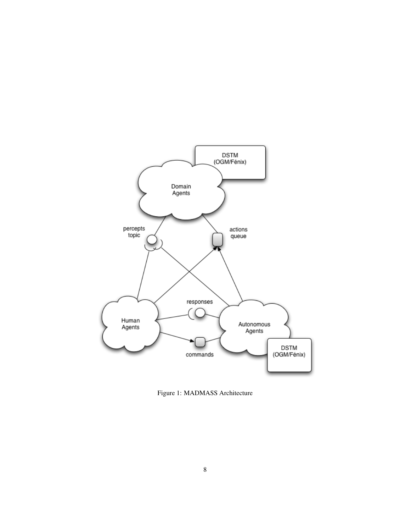

Figure 1: MADMASS Architecture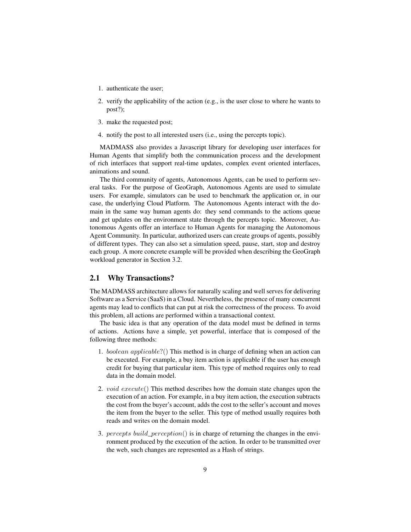- 1. authenticate the user;
- 2. verify the applicability of the action (e.g., is the user close to where he wants to post?);
- 3. make the requested post;
- 4. notify the post to all interested users (i.e., using the percepts topic).

MADMASS also provides a Javascript library for developing user interfaces for Human Agents that simplify both the communication process and the development of rich interfaces that support real-time updates, complex event oriented interfaces, animations and sound.

The third community of agents, Autonomous Agents, can be used to perform several tasks. For the purpose of GeoGraph, Autonomous Agents are used to simulate users. For example, simulators can be used to benchmark the application or, in our case, the underlying Cloud Platform. The Autonomous Agents interact with the domain in the same way human agents do: they send commands to the actions queue and get updates on the environment state through the percepts topic. Moreover, Autonomous Agents offer an interface to Human Agents for managing the Autonomous Agent Community. In particular, authorized users can create groups of agents, possibly of different types. They can also set a simulation speed, pause, start, stop and destroy each group. A more concrete example will be provided when describing the GeoGraph workload generator in Section 3.2.

#### 2.1 Why Transactions?

The MADMASS architecture allows for naturally scaling and well serves for delivering Software as a Service (SaaS) in a Cloud. Nevertheless, the presence of many concurrent agents may lead to conflicts that can put at risk the correctness of the process. To avoid this problem, all actions are performed within a transactional context.

The basic idea is that any operation of the data model must be defined in terms of actions. Actions have a simple, yet powerful, interface that is composed of the following three methods:

- 1. boolean applicable?() This method is in charge of defining when an action can be executed. For example, a buy item action is applicable if the user has enough credit for buying that particular item. This type of method requires only to read data in the domain model.
- 2. *void execute*() This method describes how the domain state changes upon the execution of an action. For example, in a buy item action, the execution subtracts the cost from the buyer's account, adds the cost to the seller's account and moves the item from the buyer to the seller. This type of method usually requires both reads and writes on the domain model.
- 3. percepts build\_perception() is in charge of returning the changes in the environment produced by the execution of the action. In order to be transmitted over the web, such changes are represented as a Hash of strings.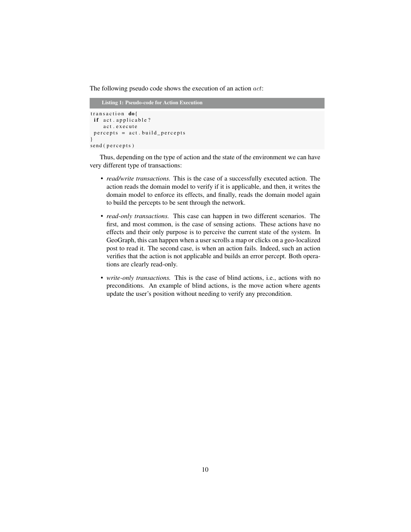The following pseudo code shows the execution of an action  $act$ :

```
Listing 1: Pseudo-code for Action Execution
transaction do{
 if act. applicable?
    act.execute
 percepts = act.build_pereets}
send (percepts)
```
Thus, depending on the type of action and the state of the environment we can have very different type of transactions:

- *read/write transactions.* This is the case of a successfully executed action. The action reads the domain model to verify if it is applicable, and then, it writes the domain model to enforce its effects, and finally, reads the domain model again to build the percepts to be sent through the network.
- *read-only transactions.* This case can happen in two different scenarios. The first, and most common, is the case of sensing actions. These actions have no effects and their only purpose is to perceive the current state of the system. In GeoGraph, this can happen when a user scrolls a map or clicks on a geo-localized post to read it. The second case, is when an action fails. Indeed, such an action verifies that the action is not applicable and builds an error percept. Both operations are clearly read-only.
- *write-only transactions.* This is the case of blind actions, i.e., actions with no preconditions. An example of blind actions, is the move action where agents update the user's position without needing to verify any precondition.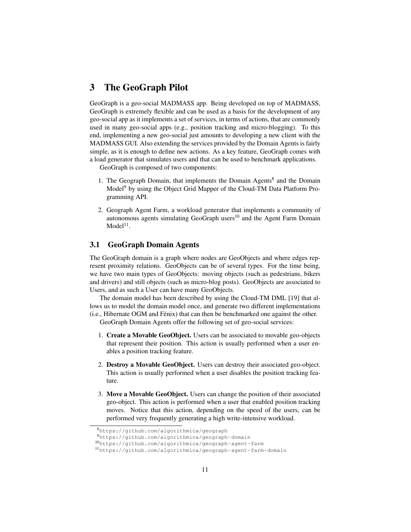## 3 The GeoGraph Pilot

GeoGraph is a geo-social MADMASS app. Being developed on top of MADMASS, GeoGraph is extremely flexible and can be used as a basis for the development of any geo-social app as it implements a set of services, in terms of actions, that are commonly used in many geo-social apps (e.g., position tracking and micro-blogging). To this end, implementing a new geo-social just amounts to developing a new client with the MADMASS GUI. Also extending the services provided by the Domain Agents is fairly simple, as it is enough to define new actions. As a key feature, GeoGraph comes with a load generator that simulates users and that can be used to benchmark applications.

GeoGraph is composed of two components:

- 1. The Geograph Domain, that implements the Domain Agents<sup>8</sup> and the Domain Model<sup>9</sup> by using the Object Grid Mapper of the Cloud-TM Data Platform Programming API.
- 2. Geograph Agent Farm, a workload generator that implements a community of autonomous agents simulating GeoGraph users<sup>10</sup> and the Agent Farm Domain  $Model<sup>11</sup>$ .

#### 3.1 GeoGraph Domain Agents

The GeoGraph domain is a graph where nodes are GeoObjects and where edges represent proximity relations. GeoObjects can be of several types. For the time being, we have two main types of GeoObjects: moving objects (such as pedestrians, bikers and drivers) and still objects (such as micro-blog posts). GeoObjects are associated to Users, and as such a User can have many GeoObjects.

The domain model has been described by using the Cloud-TM DML [19] that allows us to model the domain model once, and generate two different implementations (i.e., Hibernate OGM and Fénix) that can then be benchmarked one against the other.

GeoGraph Domain Agents offer the following set of geo-social services:

- 1. Create a Movable GeoObject. Users can be associated to movable geo-objects that represent their position. This action is usually performed when a user enables a position tracking feature.
- 2. Destroy a Movable GeoObject. Users can destroy their associated geo-object. This action is usually performed when a user disables the position tracking feature.
- 3. Move a Movable GeoObject. Users can change the position of their associated geo-object. This action is performed when a user that enabled position tracking moves. Notice that this action, depending on the speed of the users, can be performed very frequently generating a high write-intensive workload.

<sup>8</sup>https://github.com/algorithmica/geograph

<sup>9</sup>https://github.com/algorithmica/geograph-domain

<sup>10</sup>https://github.com/algorithmica/geograph-agent-farm

<sup>11</sup>https://github.com/algorithmica/geograph-agent-farm-domain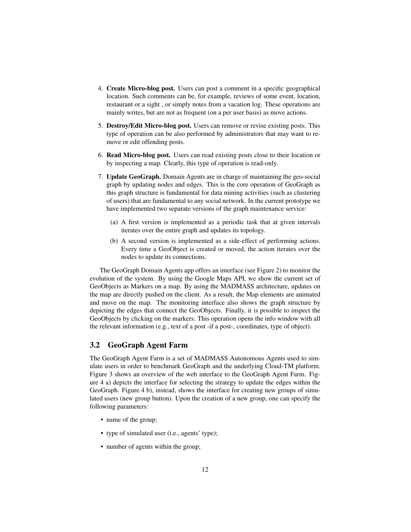- 4. Create Micro-blog post. Users can post a comment in a specific geographical location. Such comments can be, for example, reviews of some event, location, restaurant or a sight , or simply notes from a vacation log. These operations are mainly writes, but are not as frequent (on a per user basis) as move actions.
- 5. Destroy/Edit Micro-blog post. Users can remove or revise existing posts. This type of operation can be also performed by administrators that may want to remove or edit offending posts.
- 6. Read Micro-blog post. Users can read existing posts close to their location or by inspecting a map. Clearly, this type of operation is read-only.
- 7. Update GeoGraph. Domain Agents are in charge of maintaining the geo-social graph by updating nodes and edges. This is the core operation of GeoGraph as this graph structure is fundamental for data mining activities (such as clustering of users) that are fundamental to any social network. In the current prototype we have implemented two separate versions of the graph maintenance service:
	- (a) A first version is implemented as a periodic task that at given intervals iterates over the entire graph and updates its topology.
	- (b) A second version is implemented as a side-effect of performing actions. Every time a GeoObject is created or moved, the action iterates over the nodes to update its connections.

The GeoGraph Domain Agents app offers an interface (see Figure 2) to monitor the evolution of the system. By using the Google Maps API, we show the current set of GeoObjects as Markers on a map. By using the MADMASS architecture, updates on the map are directly pushed on the client. As a result, the Map elements are animated and move on the map. The monitoring interface also shows the graph structure by depicting the edges that connect the GeoObjects. Finally, it is possible to inspect the GeoObjects by clicking on the markers. This operation opens the info window with all the relevant information (e.g., text of a post -if a post-, coordinates, type of object).

#### 3.2 GeoGraph Agent Farm

The GeoGraph Agent Farm is a set of MADMASS Autonomous Agents used to simulate users in order to benchmark GeoGraph and the underlying Cloud-TM platform. Figure 3 shows an overview of the web interface to the GeoGraph Agent Farm. Figure 4 a) depicts the interface for selecting the strategy to update the edges within the GeoGraph. Figure 4 b), instead, shows the interface for creating new groups of simulated users (new group button). Upon the creation of a new group, one can specify the following parameters:

- name of the group;
- type of simulated user (i.e., agents' type);
- number of agents within the group;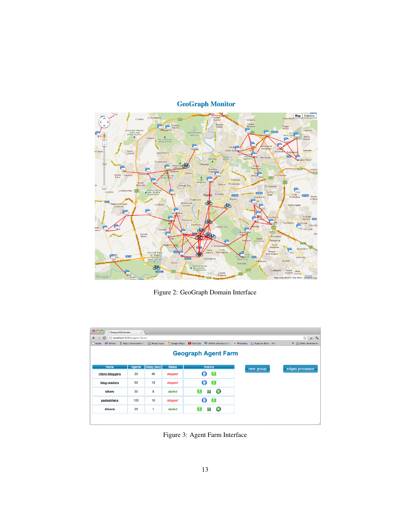

## **GeoGraph Monitor**

Figure 2: GeoGraph Domain Interface

| 000<br><b>GeographCenerator</b><br>$x(\theta)$               |        |             |                                                |   |                                                                  |  |           |                                 |  |  |
|--------------------------------------------------------------|--------|-------------|------------------------------------------------|---|------------------------------------------------------------------|--|-----------|---------------------------------|--|--|
| O localhost:8080/agent-farm/<br>$\leftarrow$<br>$\mathbf{C}$ |        |             |                                                |   |                                                                  |  |           | $\theta$ 2<br>$\frac{1}{2}$     |  |  |
| Apple <i>O!</i> Yahoo!                                       |        |             | 5 http://diveintohtml5 Mysql Issue Coogle Maps |   | VouTube M Online charset/code W Wikipedia A Ruby on Rails - APId |  |           | Other Bookmarks<br>$\mathbf{v}$ |  |  |
| <b>Geograph Agent Farm</b>                                   |        |             |                                                |   |                                                                  |  |           |                                 |  |  |
| Name                                                         | Agents | Delay (sec) | <b>Status</b>                                  |   | <b>Actions</b>                                                   |  | new group | edges processor                 |  |  |
| micro-bloggers                                               | 20     | 40          | stopped                                        |   | $\blacktriangle$                                                 |  |           |                                 |  |  |
| blog-readers                                                 | 50     | 15          | stopped                                        |   | e                                                                |  |           |                                 |  |  |
| <b>bikers</b>                                                | 30     | 5           | started                                        | Ð | 98<br>Θ                                                          |  |           |                                 |  |  |
| pedestrians                                                  | 100    | 10          | stopped                                        |   | e                                                                |  |           |                                 |  |  |
| drivers                                                      | 25     | 1           | started                                        | 臼 | H<br>Θ                                                           |  |           |                                 |  |  |
|                                                              |        |             |                                                |   |                                                                  |  |           |                                 |  |  |

Figure 3: Agent Farm Interface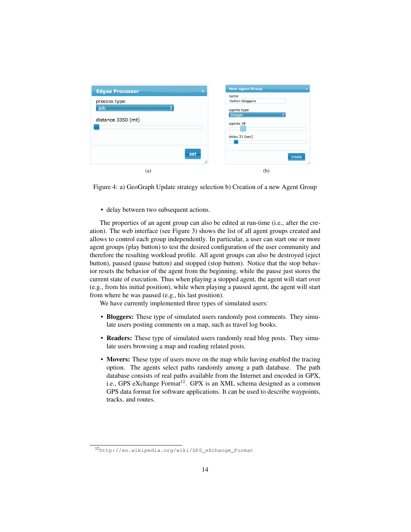| <b>Edges Processor</b><br>$\boldsymbol{\times}$ | <b>New Agent Group</b>   |
|-------------------------------------------------|--------------------------|
| process type                                    | name<br>italian-bloggers |
| job<br>÷                                        | agents type<br>blogger   |
| distance 3350 (mt)                              | agents 18                |
|                                                 | delay 21 (sec)           |
|                                                 |                          |
| set<br>h,                                       |                          |
| (a)                                             | (b)                      |



• delay between two subsequent actions.

The properties of an agent group can also be edited at run-time (i.e., after the creation). The web interface (see Figure 3) shows the list of all agent groups created and allows to control each group independently. In particular, a user can start one or more agent groups (play button) to test the desired configuration of the user community and therefore the resulting workload profile. All agent groups can also be destroyed (eject button), paused (pause button) and stopped (stop button). Notice that the stop behavior resets the behavior of the agent from the beginning, while the pause just stores the current state of execution. Thus when playing a stopped agent, the agent will start over (e.g., from his initial position), while when playing a paused agent, the agent will start from where he was paused (e.g., his last position).

We have currently implemented three types of simulated users:

- Bloggers: These type of simulated users randomly post comments. They simulate users posting comments on a map, such as travel log books.
- Readers: These type of simulated users randomly read blog posts. They simulate users browsing a map and reading related posts.
- Movers: These type of users move on the map while having enabled the tracing option. The agents select paths randomly among a path database. The path database consists of real paths available from the Internet and encoded in GPX, i.e., GPS eXchange Format<sup>12</sup>. GPX is an XML schema designed as a common GPS data format for software applications. It can be used to describe waypoints, tracks, and routes.

<sup>12</sup>http://en.wikipedia.org/wiki/GPS\_eXchange\_Format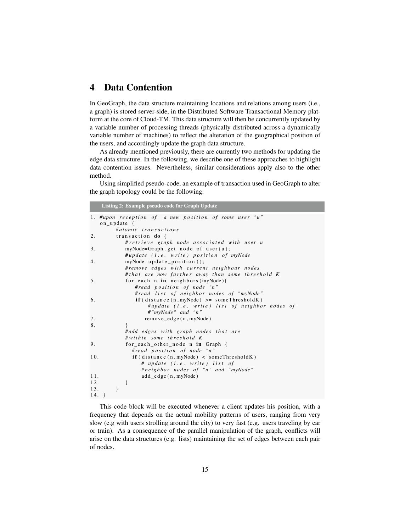## 4 Data Contention

In GeoGraph, the data structure maintaining locations and relations among users (i.e., a graph) is stored server-side, in the Distributed Software Transactional Memory platform at the core of Cloud-TM. This data structure will then be concurrently updated by a variable number of processing threads (physically distributed across a dynamically variable number of machines) to reflect the alteration of the geographical position of the users, and accordingly update the graph data structure.

As already mentioned previously, there are currently two methods for updating the edge data structure. In the following, we describe one of these approaches to highlight data contention issues. Nevertheless, similar considerations apply also to the other method.

Using simplified pseudo-code, an example of transaction used in GeoGraph to alter the graph topology could be the following:

Listing 2: Example pseudo code for Graph Update

```
1. #upon reception of a new position of some user "u"
   on_update {
        # at o mi c t r a n s a c t i o n s
2. transaction \bf{do} {
           # r e t r i e v e g r a p h node a s s o c i a t e d wit h u s e r u
3. myNode=Graph .get_node_of_user(u);
           #update (i.e. write) position of myNode
4. myNode.update_position();
           # remove e d g e s wit h c u r r e n t n ei g h b o u r n o d e s
           # that are now farther away than some threshold K
5. for_each n in neighbors (myNode) {
              # r e a d p o s i t i o n o f node " n "
              #read list of neighbor nodes of "myNode"
6. if (distance (n, myNode) \geq sonerThresholdK)#update (i.e. write) list of neighbor nodes of
                   # " myNode " and " n "
7. remove_edge (n, myNode)
8.    }
           # add edges with graph nodes that are
           # w i t h i n some t h r e s h o l d K
9. for_each_other_node n in Graph {
             # r e a d p o s i t i o n o f node " n "
10. if (distance (n, myNode) < somoThresholdK)# u p d at e ( i . e . w r i t e ) l i s t o f
                #neighbor nodes of "n" and "myNode"
11. add_edge(n, myNode)
12. }
13. }
14.}
```
This code block will be executed whenever a client updates his position, with a frequency that depends on the actual mobility patterns of users, ranging from very slow (e.g with users strolling around the city) to very fast (e.g. users traveling by car or train). As a consequence of the parallel manipulation of the graph, conflicts will arise on the data structures (e.g. lists) maintaining the set of edges between each pair of nodes.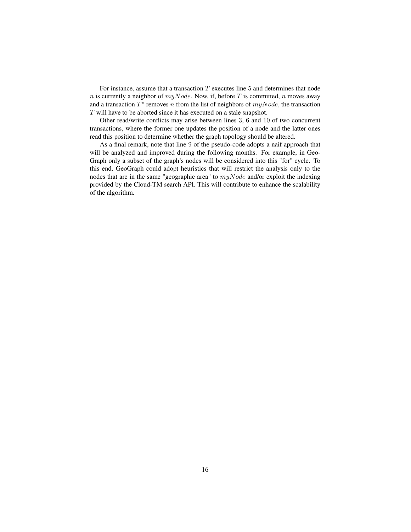For instance, assume that a transaction  $T$  executes line  $5$  and determines that node n is currently a neighbor of  $myNode$ . Now, if, before T is committed, n moves away and a transaction  $T^*$  removes n from the list of neighbors of  $myNode$ , the transaction T will have to be aborted since it has executed on a stale snapshot.

Other read/write conflicts may arise between lines 3, 6 and 10 of two concurrent transactions, where the former one updates the position of a node and the latter ones read this position to determine whether the graph topology should be altered.

As a final remark, note that line 9 of the pseudo-code adopts a naif approach that will be analyzed and improved during the following months. For example, in Geo-Graph only a subset of the graph's nodes will be considered into this "for" cycle. To this end, GeoGraph could adopt heuristics that will restrict the analysis only to the nodes that are in the same "geographic area" to  $myNode$  and/or exploit the indexing provided by the Cloud-TM search API. This will contribute to enhance the scalability of the algorithm.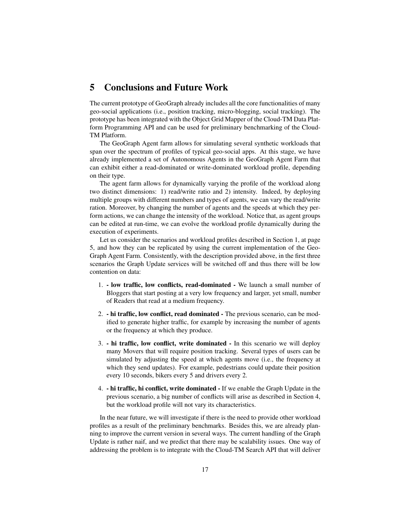## 5 Conclusions and Future Work

The current prototype of GeoGraph already includes all the core functionalities of many geo-social applications (i.e., position tracking, micro-blogging, social tracking). The prototype has been integrated with the Object Grid Mapper of the Cloud-TM Data Platform Programming API and can be used for preliminary benchmarking of the Cloud-TM Platform.

The GeoGraph Agent farm allows for simulating several synthetic workloads that span over the spectrum of profiles of typical geo-social apps. At this stage, we have already implemented a set of Autonomous Agents in the GeoGraph Agent Farm that can exhibit either a read-dominated or write-dominated workload profile, depending on their type.

The agent farm allows for dynamically varying the profile of the workload along two distinct dimensions: 1) read/write ratio and 2) intensity. Indeed, by deploying multiple groups with different numbers and types of agents, we can vary the read/write ration. Moreover, by changing the number of agents and the speeds at which they perform actions, we can change the intensity of the workload. Notice that, as agent groups can be edited at run-time, we can evolve the workload profile dynamically during the execution of experiments.

Let us consider the scenarios and workload profiles described in Section 1, at page 5, and how they can be replicated by using the current implementation of the Geo-Graph Agent Farm. Consistently, with the description provided above, in the first three scenarios the Graph Update services will be switched off and thus there will be low contention on data:

- 1. low traffic, low conflicts, read-dominated We launch a small number of Bloggers that start posting at a very low frequency and larger, yet small, number of Readers that read at a medium frequency.
- 2. hi traffic, low conflict, read dominated The previous scenario, can be modified to generate higher traffic, for example by increasing the number of agents or the frequency at which they produce.
- 3. hi traffic, low conflict, write dominated In this scenario we will deploy many Movers that will require position tracking. Several types of users can be simulated by adjusting the speed at which agents move (i.e., the frequency at which they send updates). For example, pedestrians could update their position every 10 seconds, bikers every 5 and drivers every 2.
- 4. hi traffic, hi conflict, write dominated If we enable the Graph Update in the previous scenario, a big number of conflicts will arise as described in Section 4, but the workload profile will not vary its characteristics.

In the near future, we will investigate if there is the need to provide other workload profiles as a result of the preliminary benchmarks. Besides this, we are already planning to improve the current version in several ways. The current handling of the Graph Update is rather naif, and we predict that there may be scalability issues. One way of addressing the problem is to integrate with the Cloud-TM Search API that will deliver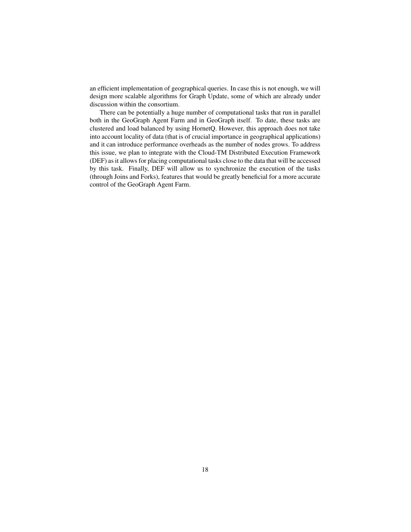an efficient implementation of geographical queries. In case this is not enough, we will design more scalable algorithms for Graph Update, some of which are already under discussion within the consortium.

There can be potentially a huge number of computational tasks that run in parallel both in the GeoGraph Agent Farm and in GeoGraph itself. To date, these tasks are clustered and load balanced by using HornetQ. However, this approach does not take into account locality of data (that is of crucial importance in geographical applications) and it can introduce performance overheads as the number of nodes grows. To address this issue, we plan to integrate with the Cloud-TM Distributed Execution Framework (DEF) as it allows for placing computational tasks close to the data that will be accessed by this task. Finally, DEF will allow us to synchronize the execution of the tasks (through Joins and Forks), features that would be greatly beneficial for a more accurate control of the GeoGraph Agent Farm.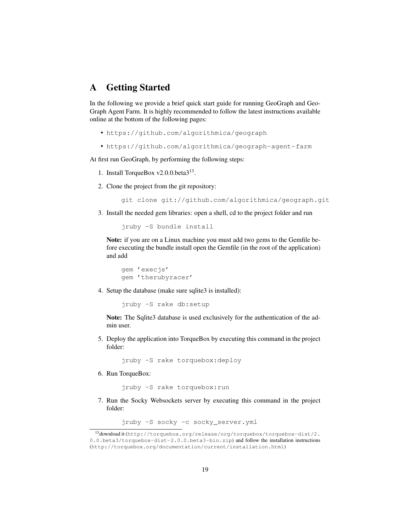## A Getting Started

In the following we provide a brief quick start guide for running GeoGraph and Geo-Graph Agent Farm. It is highly recommended to follow the latest instructions available online at the bottom of the following pages:

- https://github.com/algorithmica/geograph
- https://github.com/algorithmica/geograph-agent-farm

At first run GeoGraph, by performing the following steps:

- 1. Install TorqueBox v2.0.0.beta3<sup>13</sup>.
- 2. Clone the project from the git repository:

```
git clone git://github.com/algorithmica/geograph.git
```
3. Install the needed gem libraries: open a shell, cd to the project folder and run

jruby -S bundle install

Note: if you are on a Linux machine you must add two gems to the Gemfile before executing the bundle install open the Gemfile (in the root of the application) and add

gem 'execjs' gem 'therubyracer'

4. Setup the database (make sure sqlite3 is installed):

jruby -S rake db:setup

Note: The Sqlite3 database is used exclusively for the authentication of the admin user.

5. Deploy the application into TorqueBox by executing this command in the project folder:

jruby -S rake torquebox:deploy

6. Run TorqueBox:

jruby -S rake torquebox:run

7. Run the Socky Websockets server by executing this command in the project folder:

jruby -S socky -c socky\_server.yml

<sup>13</sup>download it (http://torquebox.org/release/org/torquebox/torquebox-dist/2. 0.0.beta3/torquebox-dist-2.0.0.beta3-bin.zip) and follow the installation instructions (http://torquebox.org/documentation/current/installation.html)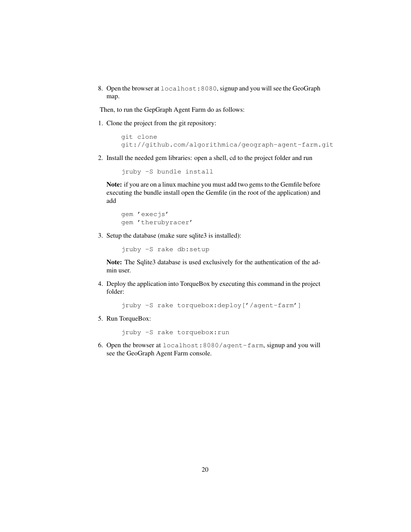8. Open the browser at localhost:8080, signup and you will see the GeoGraph map.

Then, to run the GepGraph Agent Farm do as follows:

1. Clone the project from the git repository:

```
git clone
git://github.com/algorithmica/geograph-agent-farm.git
```
2. Install the needed gem libraries: open a shell, cd to the project folder and run

```
jruby -S bundle install
```
Note: if you are on a linux machine you must add two gems to the Gemfile before executing the bundle install open the Gemfile (in the root of the application) and add

```
gem 'execjs'
gem 'therubyracer'
```
3. Setup the database (make sure sqlite3 is installed):

jruby -S rake db:setup

Note: The Sqlite3 database is used exclusively for the authentication of the admin user.

4. Deploy the application into TorqueBox by executing this command in the project folder:

jruby -S rake torquebox:deploy['/agent-farm']

5. Run TorqueBox:

jruby -S rake torquebox:run

6. Open the browser at localhost:8080/agent-farm, signup and you will see the GeoGraph Agent Farm console.